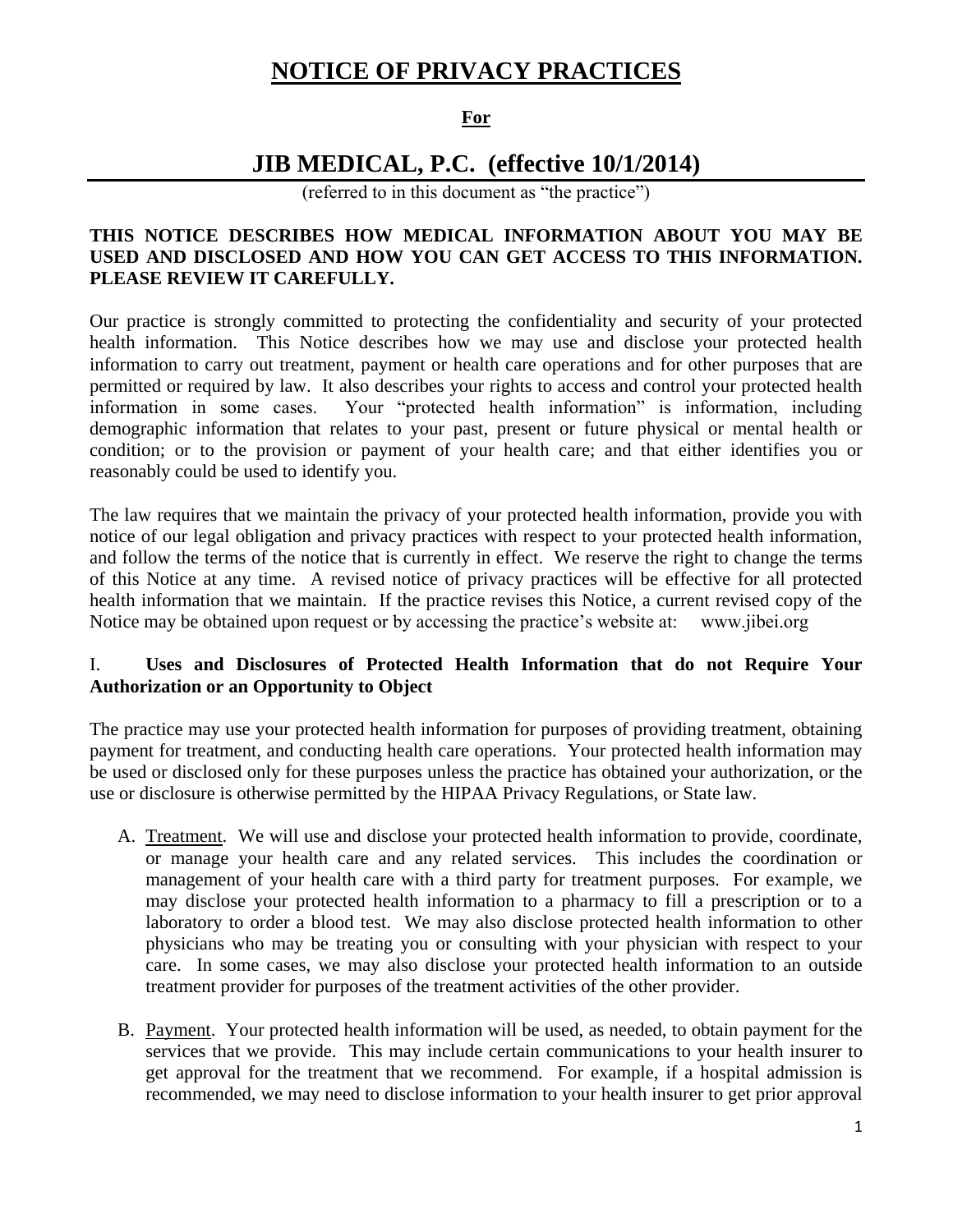# **NOTICE OF PRIVACY PRACTICES**

## **For**

# **JIB MEDICAL, P.C. (effective 10/1/2014)**

(referred to in this document as "the practice")

### **THIS NOTICE DESCRIBES HOW MEDICAL INFORMATION ABOUT YOU MAY BE USED AND DISCLOSED AND HOW YOU CAN GET ACCESS TO THIS INFORMATION. PLEASE REVIEW IT CAREFULLY.**

Our practice is strongly committed to protecting the confidentiality and security of your protected health information. This Notice describes how we may use and disclose your protected health information to carry out treatment, payment or health care operations and for other purposes that are permitted or required by law. It also describes your rights to access and control your protected health information in some cases. Your "protected health information" is information, including demographic information that relates to your past, present or future physical or mental health or condition; or to the provision or payment of your health care; and that either identifies you or reasonably could be used to identify you.

The law requires that we maintain the privacy of your protected health information, provide you with notice of our legal obligation and privacy practices with respect to your protected health information, and follow the terms of the notice that is currently in effect. We reserve the right to change the terms of this Notice at any time. A revised notice of privacy practices will be effective for all protected health information that we maintain. If the practice revises this Notice, a current revised copy of the Notice may be obtained upon request or by accessing the practice's website at: www.jibei.org

### I. **Uses and Disclosures of Protected Health Information that do not Require Your Authorization or an Opportunity to Object**

The practice may use your protected health information for purposes of providing treatment, obtaining payment for treatment, and conducting health care operations. Your protected health information may be used or disclosed only for these purposes unless the practice has obtained your authorization, or the use or disclosure is otherwise permitted by the HIPAA Privacy Regulations, or State law.

- A. Treatment. We will use and disclose your protected health information to provide, coordinate, or manage your health care and any related services. This includes the coordination or management of your health care with a third party for treatment purposes. For example, we may disclose your protected health information to a pharmacy to fill a prescription or to a laboratory to order a blood test. We may also disclose protected health information to other physicians who may be treating you or consulting with your physician with respect to your care. In some cases, we may also disclose your protected health information to an outside treatment provider for purposes of the treatment activities of the other provider.
- B. Payment. Your protected health information will be used, as needed, to obtain payment for the services that we provide. This may include certain communications to your health insurer to get approval for the treatment that we recommend. For example, if a hospital admission is recommended, we may need to disclose information to your health insurer to get prior approval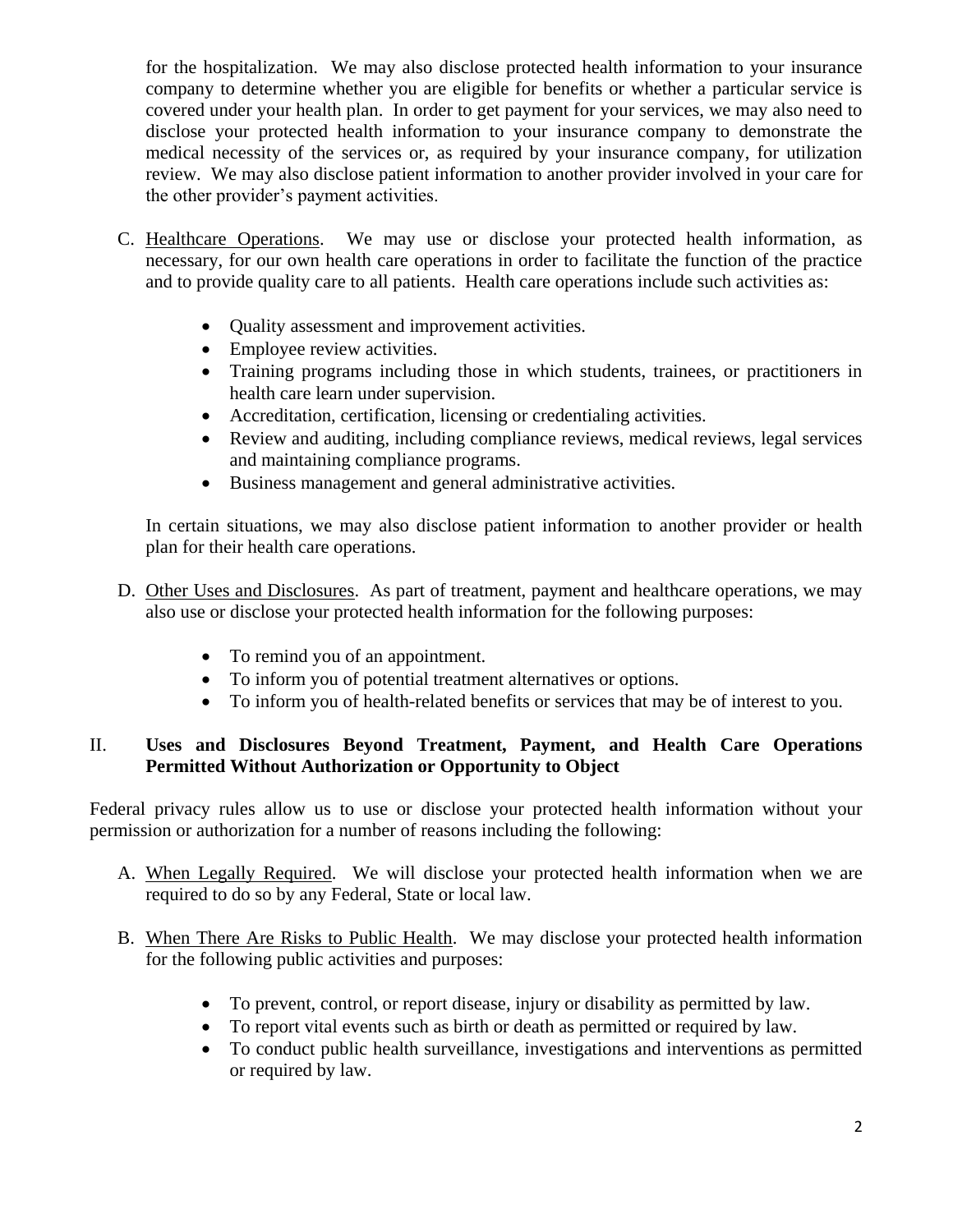for the hospitalization. We may also disclose protected health information to your insurance company to determine whether you are eligible for benefits or whether a particular service is covered under your health plan. In order to get payment for your services, we may also need to disclose your protected health information to your insurance company to demonstrate the medical necessity of the services or, as required by your insurance company, for utilization review. We may also disclose patient information to another provider involved in your care for the other provider's payment activities.

- C. Healthcare Operations. We may use or disclose your protected health information, as necessary, for our own health care operations in order to facilitate the function of the practice and to provide quality care to all patients. Health care operations include such activities as:
	- Quality assessment and improvement activities.
	- Employee review activities.
	- Training programs including those in which students, trainees, or practitioners in health care learn under supervision.
	- Accreditation, certification, licensing or credentialing activities.
	- Review and auditing, including compliance reviews, medical reviews, legal services and maintaining compliance programs.
	- Business management and general administrative activities.

In certain situations, we may also disclose patient information to another provider or health plan for their health care operations.

- D. Other Uses and Disclosures. As part of treatment, payment and healthcare operations, we may also use or disclose your protected health information for the following purposes:
	- To remind you of an appointment.
	- To inform you of potential treatment alternatives or options.
	- To inform you of health-related benefits or services that may be of interest to you.

## II. **Uses and Disclosures Beyond Treatment, Payment, and Health Care Operations Permitted Without Authorization or Opportunity to Object**

Federal privacy rules allow us to use or disclose your protected health information without your permission or authorization for a number of reasons including the following:

- A. When Legally Required. We will disclose your protected health information when we are required to do so by any Federal, State or local law.
- B. When There Are Risks to Public Health. We may disclose your protected health information for the following public activities and purposes:
	- To prevent, control, or report disease, injury or disability as permitted by law.
	- To report vital events such as birth or death as permitted or required by law.
	- To conduct public health surveillance, investigations and interventions as permitted or required by law.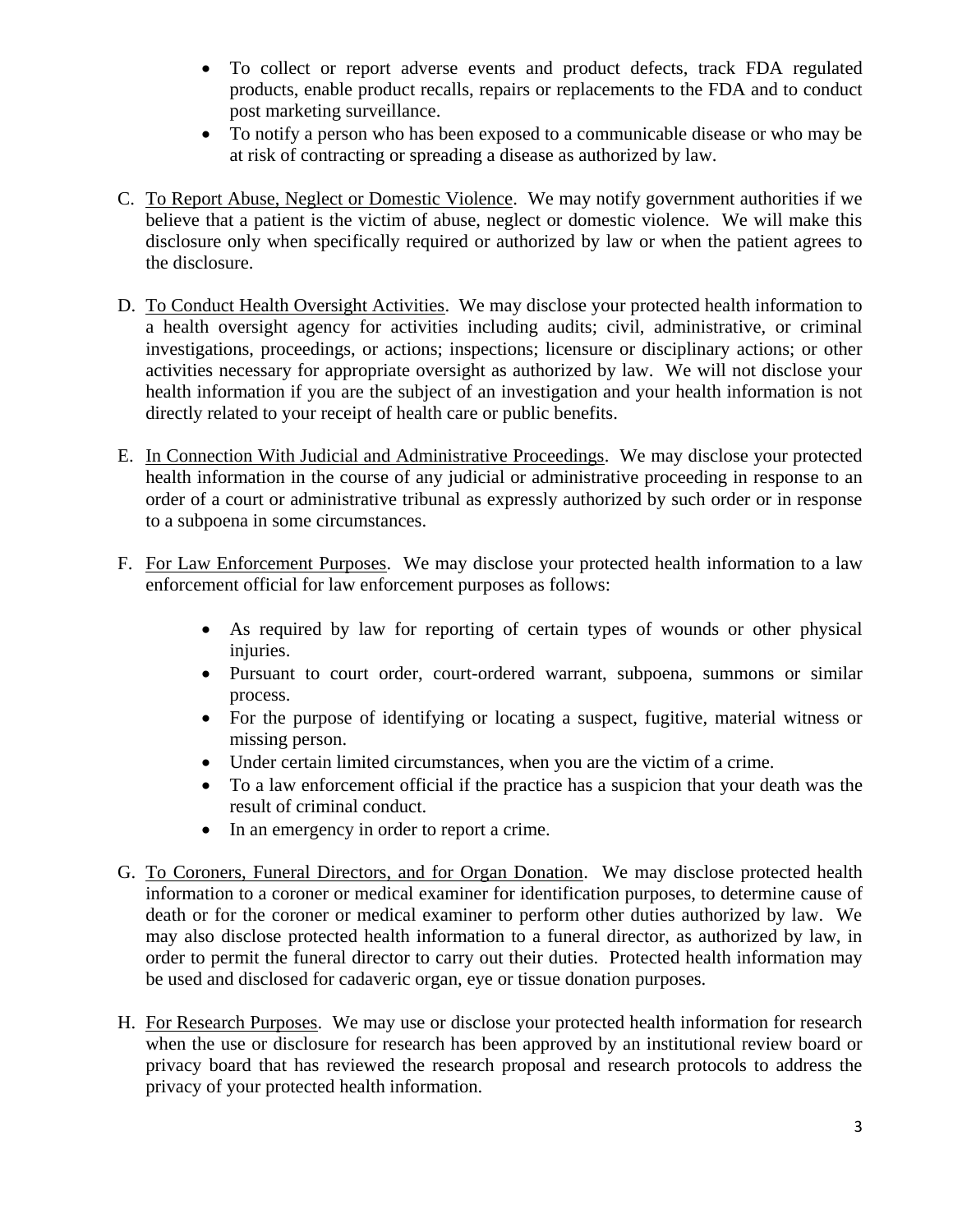- To collect or report adverse events and product defects, track FDA regulated products, enable product recalls, repairs or replacements to the FDA and to conduct post marketing surveillance.
- To notify a person who has been exposed to a communicable disease or who may be at risk of contracting or spreading a disease as authorized by law.
- C. To Report Abuse, Neglect or Domestic Violence. We may notify government authorities if we believe that a patient is the victim of abuse, neglect or domestic violence. We will make this disclosure only when specifically required or authorized by law or when the patient agrees to the disclosure.
- D. To Conduct Health Oversight Activities. We may disclose your protected health information to a health oversight agency for activities including audits; civil, administrative, or criminal investigations, proceedings, or actions; inspections; licensure or disciplinary actions; or other activities necessary for appropriate oversight as authorized by law. We will not disclose your health information if you are the subject of an investigation and your health information is not directly related to your receipt of health care or public benefits.
- E. In Connection With Judicial and Administrative Proceedings. We may disclose your protected health information in the course of any judicial or administrative proceeding in response to an order of a court or administrative tribunal as expressly authorized by such order or in response to a subpoena in some circumstances.
- F. For Law Enforcement Purposes. We may disclose your protected health information to a law enforcement official for law enforcement purposes as follows:
	- As required by law for reporting of certain types of wounds or other physical injuries.
	- Pursuant to court order, court-ordered warrant, subpoena, summons or similar process.
	- For the purpose of identifying or locating a suspect, fugitive, material witness or missing person.
	- Under certain limited circumstances, when you are the victim of a crime.
	- To a law enforcement official if the practice has a suspicion that your death was the result of criminal conduct.
	- In an emergency in order to report a crime.
- G. To Coroners, Funeral Directors, and for Organ Donation. We may disclose protected health information to a coroner or medical examiner for identification purposes, to determine cause of death or for the coroner or medical examiner to perform other duties authorized by law. We may also disclose protected health information to a funeral director, as authorized by law, in order to permit the funeral director to carry out their duties. Protected health information may be used and disclosed for cadaveric organ, eye or tissue donation purposes.
- H. For Research Purposes. We may use or disclose your protected health information for research when the use or disclosure for research has been approved by an institutional review board or privacy board that has reviewed the research proposal and research protocols to address the privacy of your protected health information.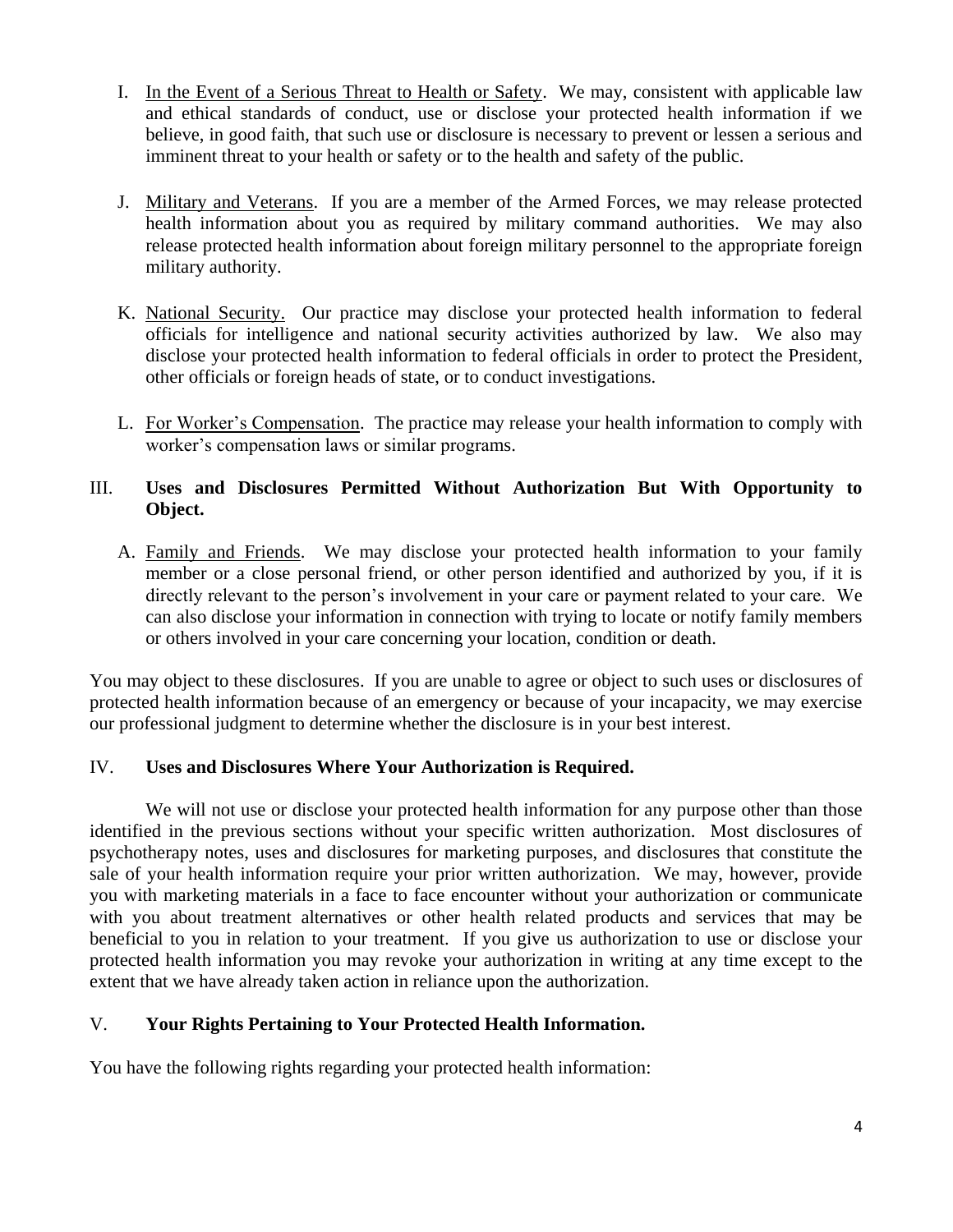- I. In the Event of a Serious Threat to Health or Safety. We may, consistent with applicable law and ethical standards of conduct, use or disclose your protected health information if we believe, in good faith, that such use or disclosure is necessary to prevent or lessen a serious and imminent threat to your health or safety or to the health and safety of the public.
- J. Military and Veterans. If you are a member of the Armed Forces, we may release protected health information about you as required by military command authorities. We may also release protected health information about foreign military personnel to the appropriate foreign military authority.
- K. National Security. Our practice may disclose your protected health information to federal officials for intelligence and national security activities authorized by law. We also may disclose your protected health information to federal officials in order to protect the President, other officials or foreign heads of state, or to conduct investigations.
- L. For Worker's Compensation. The practice may release your health information to comply with worker's compensation laws or similar programs.

## III. **Uses and Disclosures Permitted Without Authorization But With Opportunity to Object.**

A. Family and Friends. We may disclose your protected health information to your family member or a close personal friend, or other person identified and authorized by you, if it is directly relevant to the person's involvement in your care or payment related to your care. We can also disclose your information in connection with trying to locate or notify family members or others involved in your care concerning your location, condition or death.

You may object to these disclosures. If you are unable to agree or object to such uses or disclosures of protected health information because of an emergency or because of your incapacity, we may exercise our professional judgment to determine whether the disclosure is in your best interest.

### IV. **Uses and Disclosures Where Your Authorization is Required.**

We will not use or disclose your protected health information for any purpose other than those identified in the previous sections without your specific written authorization. Most disclosures of psychotherapy notes, uses and disclosures for marketing purposes, and disclosures that constitute the sale of your health information require your prior written authorization. We may, however, provide you with marketing materials in a face to face encounter without your authorization or communicate with you about treatment alternatives or other health related products and services that may be beneficial to you in relation to your treatment. If you give us authorization to use or disclose your protected health information you may revoke your authorization in writing at any time except to the extent that we have already taken action in reliance upon the authorization.

### V. **Your Rights Pertaining to Your Protected Health Information.**

You have the following rights regarding your protected health information: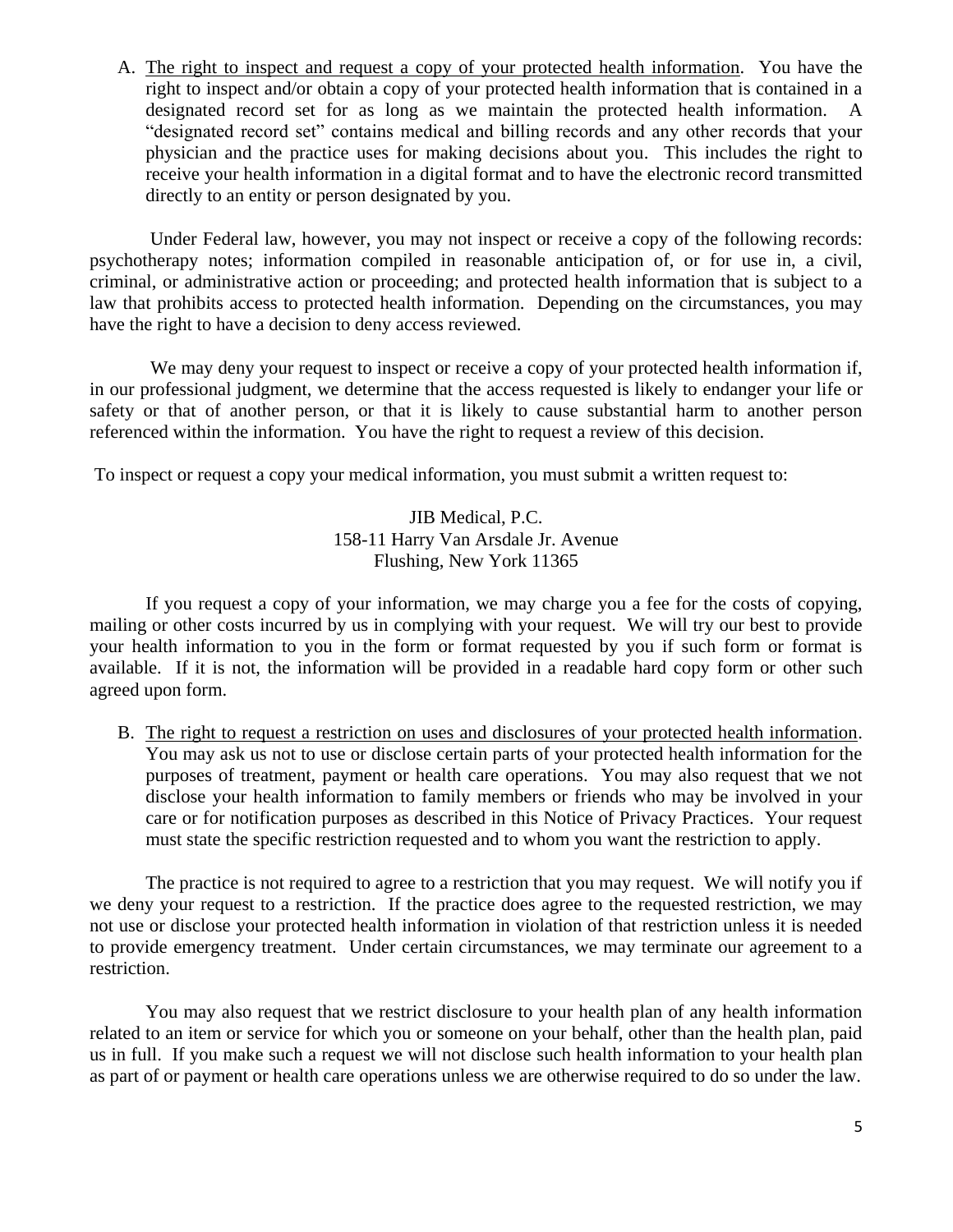A. The right to inspect and request a copy of your protected health information. You have the right to inspect and/or obtain a copy of your protected health information that is contained in a designated record set for as long as we maintain the protected health information. "designated record set" contains medical and billing records and any other records that your physician and the practice uses for making decisions about you. This includes the right to receive your health information in a digital format and to have the electronic record transmitted directly to an entity or person designated by you.

Under Federal law, however, you may not inspect or receive a copy of the following records: psychotherapy notes; information compiled in reasonable anticipation of, or for use in, a civil, criminal, or administrative action or proceeding; and protected health information that is subject to a law that prohibits access to protected health information. Depending on the circumstances, you may have the right to have a decision to deny access reviewed.

We may deny your request to inspect or receive a copy of your protected health information if, in our professional judgment, we determine that the access requested is likely to endanger your life or safety or that of another person, or that it is likely to cause substantial harm to another person referenced within the information. You have the right to request a review of this decision.

To inspect or request a copy your medical information, you must submit a written request to:

JIB Medical, P.C. 158-11 Harry Van Arsdale Jr. Avenue Flushing, New York 11365

If you request a copy of your information, we may charge you a fee for the costs of copying, mailing or other costs incurred by us in complying with your request. We will try our best to provide your health information to you in the form or format requested by you if such form or format is available. If it is not, the information will be provided in a readable hard copy form or other such agreed upon form.

B. The right to request a restriction on uses and disclosures of your protected health information. You may ask us not to use or disclose certain parts of your protected health information for the purposes of treatment, payment or health care operations. You may also request that we not disclose your health information to family members or friends who may be involved in your care or for notification purposes as described in this Notice of Privacy Practices. Your request must state the specific restriction requested and to whom you want the restriction to apply.

The practice is not required to agree to a restriction that you may request. We will notify you if we deny your request to a restriction. If the practice does agree to the requested restriction, we may not use or disclose your protected health information in violation of that restriction unless it is needed to provide emergency treatment. Under certain circumstances, we may terminate our agreement to a restriction.

You may also request that we restrict disclosure to your health plan of any health information related to an item or service for which you or someone on your behalf, other than the health plan, paid us in full. If you make such a request we will not disclose such health information to your health plan as part of or payment or health care operations unless we are otherwise required to do so under the law.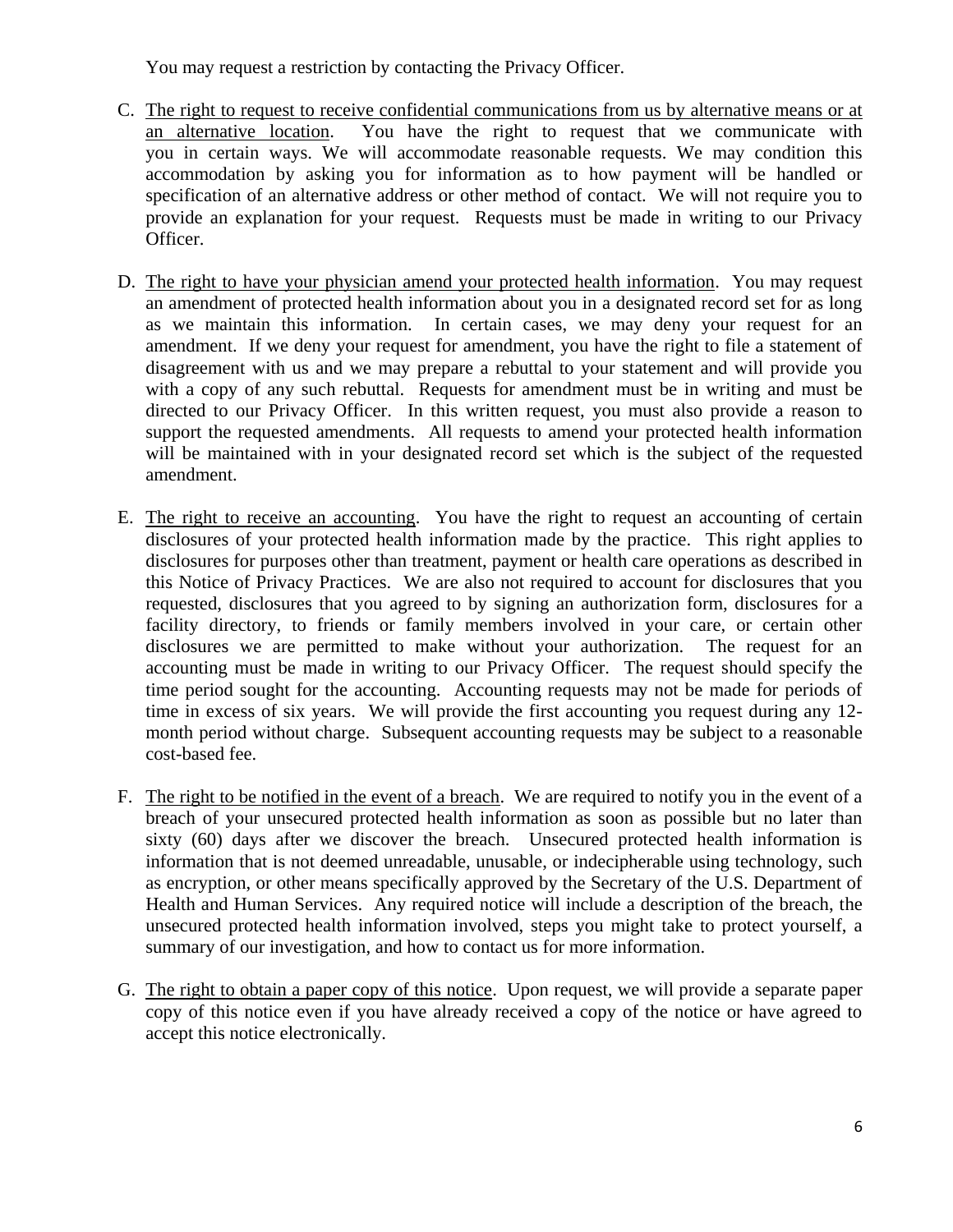You may request a restriction by contacting the Privacy Officer.

- C. The right to request to receive confidential communications from us by alternative means or at an alternative location. You have the right to request that we communicate with you in certain ways. We will accommodate reasonable requests. We may condition this accommodation by asking you for information as to how payment will be handled or specification of an alternative address or other method of contact. We will not require you to provide an explanation for your request. Requests must be made in writing to our Privacy Officer.
- D. The right to have your physician amend your protected health information. You may request an amendment of protected health information about you in a designated record set for as long as we maintain this information. In certain cases, we may deny your request for an amendment. If we deny your request for amendment, you have the right to file a statement of disagreement with us and we may prepare a rebuttal to your statement and will provide you with a copy of any such rebuttal. Requests for amendment must be in writing and must be directed to our Privacy Officer. In this written request, you must also provide a reason to support the requested amendments. All requests to amend your protected health information will be maintained with in your designated record set which is the subject of the requested amendment.
- E. The right to receive an accounting. You have the right to request an accounting of certain disclosures of your protected health information made by the practice. This right applies to disclosures for purposes other than treatment, payment or health care operations as described in this Notice of Privacy Practices. We are also not required to account for disclosures that you requested, disclosures that you agreed to by signing an authorization form, disclosures for a facility directory, to friends or family members involved in your care, or certain other disclosures we are permitted to make without your authorization. The request for an accounting must be made in writing to our Privacy Officer. The request should specify the time period sought for the accounting. Accounting requests may not be made for periods of time in excess of six years. We will provide the first accounting you request during any 12 month period without charge. Subsequent accounting requests may be subject to a reasonable cost-based fee.
- F. The right to be notified in the event of a breach. We are required to notify you in the event of a breach of your unsecured protected health information as soon as possible but no later than sixty (60) days after we discover the breach. Unsecured protected health information is information that is not deemed unreadable, unusable, or indecipherable using technology, such as encryption, or other means specifically approved by the Secretary of the U.S. Department of Health and Human Services. Any required notice will include a description of the breach, the unsecured protected health information involved, steps you might take to protect yourself, a summary of our investigation, and how to contact us for more information.
- G. The right to obtain a paper copy of this notice. Upon request, we will provide a separate paper copy of this notice even if you have already received a copy of the notice or have agreed to accept this notice electronically.